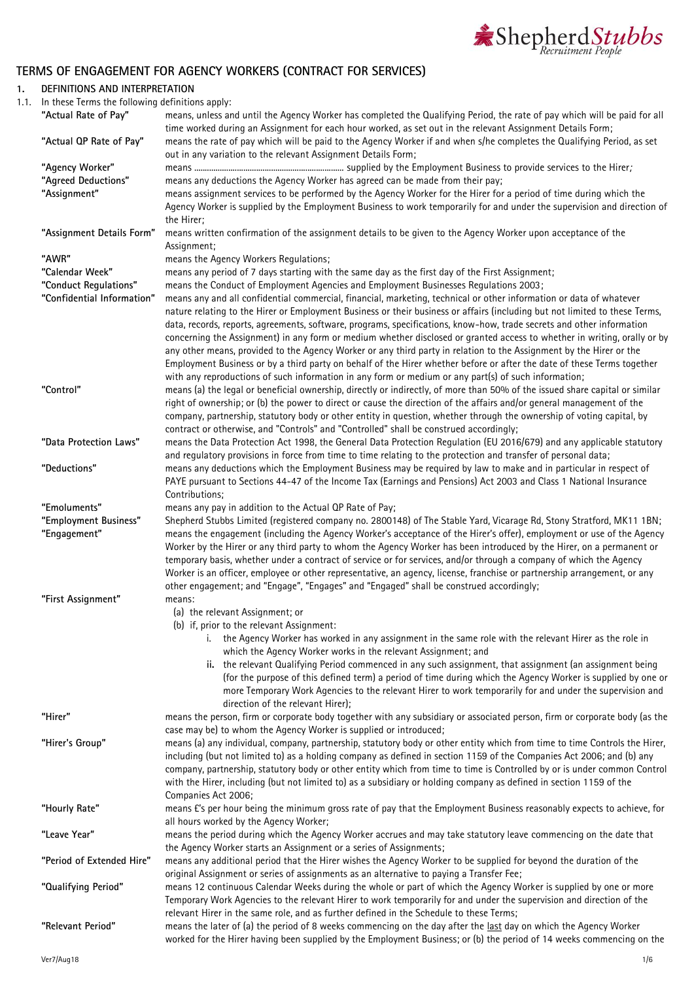

# **TERMS OF ENGAGEMENT FOR AGENCY WORKERS (CONTRACT FOR SERVICES)**

## **1. DEFINITIONS AND INTERPRETATION**

1.1. In these Terms the following definitions apply:

| $\cdots$ cricse remissing ronowing acrimitions apply. |                                                                                                                                                                                                                                                                                                                                                                     |
|-------------------------------------------------------|---------------------------------------------------------------------------------------------------------------------------------------------------------------------------------------------------------------------------------------------------------------------------------------------------------------------------------------------------------------------|
| "Actual Rate of Pay"                                  | means, unless and until the Agency Worker has completed the Qualifying Period, the rate of pay which will be paid for all<br>time worked during an Assignment for each hour worked, as set out in the relevant Assignment Details Form;                                                                                                                             |
| "Actual QP Rate of Pay"                               | means the rate of pay which will be paid to the Agency Worker if and when s/he completes the Qualifying Period, as set<br>out in any variation to the relevant Assignment Details Form;                                                                                                                                                                             |
| "Agency Worker"                                       |                                                                                                                                                                                                                                                                                                                                                                     |
| "Agreed Deductions"                                   | means any deductions the Agency Worker has agreed can be made from their pay;                                                                                                                                                                                                                                                                                       |
| "Assignment"                                          | means assignment services to be performed by the Agency Worker for the Hirer for a period of time during which the                                                                                                                                                                                                                                                  |
|                                                       | Agency Worker is supplied by the Employment Business to work temporarily for and under the supervision and direction of<br>the Hirer;                                                                                                                                                                                                                               |
| "Assignment Details Form"                             | means written confirmation of the assignment details to be given to the Agency Worker upon acceptance of the<br>Assignment;                                                                                                                                                                                                                                         |
| "AWR"                                                 | means the Agency Workers Regulations;                                                                                                                                                                                                                                                                                                                               |
| "Calendar Week"                                       | means any period of 7 days starting with the same day as the first day of the First Assignment;                                                                                                                                                                                                                                                                     |
| "Conduct Regulations"                                 | means the Conduct of Employment Agencies and Employment Businesses Regulations 2003;                                                                                                                                                                                                                                                                                |
| "Confidential Information"                            | means any and all confidential commercial, financial, marketing, technical or other information or data of whatever                                                                                                                                                                                                                                                 |
|                                                       | nature relating to the Hirer or Employment Business or their business or affairs (including but not limited to these Terms,                                                                                                                                                                                                                                         |
|                                                       | data, records, reports, agreements, software, programs, specifications, know-how, trade secrets and other information                                                                                                                                                                                                                                               |
|                                                       | concerning the Assignment) in any form or medium whether disclosed or granted access to whether in writing, orally or by                                                                                                                                                                                                                                            |
|                                                       | any other means, provided to the Agency Worker or any third party in relation to the Assignment by the Hirer or the                                                                                                                                                                                                                                                 |
|                                                       | Employment Business or by a third party on behalf of the Hirer whether before or after the date of these Terms together                                                                                                                                                                                                                                             |
|                                                       | with any reproductions of such information in any form or medium or any part(s) of such information;                                                                                                                                                                                                                                                                |
| "Control"                                             | means (a) the legal or beneficial ownership, directly or indirectly, of more than 50% of the issued share capital or similar                                                                                                                                                                                                                                        |
|                                                       | right of ownership; or (b) the power to direct or cause the direction of the affairs and/or general management of the                                                                                                                                                                                                                                               |
|                                                       | company, partnership, statutory body or other entity in question, whether through the ownership of voting capital, by                                                                                                                                                                                                                                               |
|                                                       | contract or otherwise, and "Controls" and "Controlled" shall be construed accordingly;                                                                                                                                                                                                                                                                              |
| "Data Protection Laws"                                | means the Data Protection Act 1998, the General Data Protection Regulation (EU 2016/679) and any applicable statutory                                                                                                                                                                                                                                               |
|                                                       | and regulatory provisions in force from time to time relating to the protection and transfer of personal data;                                                                                                                                                                                                                                                      |
| "Deductions"                                          | means any deductions which the Employment Business may be required by law to make and in particular in respect of                                                                                                                                                                                                                                                   |
|                                                       | PAYE pursuant to Sections 44-47 of the Income Tax (Earnings and Pensions) Act 2003 and Class 1 National Insurance                                                                                                                                                                                                                                                   |
|                                                       | Contributions;                                                                                                                                                                                                                                                                                                                                                      |
| "Emoluments"                                          | means any pay in addition to the Actual QP Rate of Pay;                                                                                                                                                                                                                                                                                                             |
| "Employment Business"                                 | Shepherd Stubbs Limited (registered company no. 2800148) of The Stable Yard, Vicarage Rd, Stony Stratford, MK11 1BN;                                                                                                                                                                                                                                                |
| "Engagement"                                          | means the engagement (including the Agency Worker's acceptance of the Hirer's offer), employment or use of the Agency<br>Worker by the Hirer or any third party to whom the Agency Worker has been introduced by the Hirer, on a permanent or<br>temporary basis, whether under a contract of service or for services, and/or through a company of which the Agency |
|                                                       | Worker is an officer, employee or other representative, an agency, license, franchise or partnership arrangement, or any                                                                                                                                                                                                                                            |
|                                                       | other engagement; and "Engage", "Engages" and "Engaged" shall be construed accordingly;                                                                                                                                                                                                                                                                             |
| "First Assignment"                                    | means:                                                                                                                                                                                                                                                                                                                                                              |
|                                                       | (a) the relevant Assignment; or<br>(b) if, prior to the relevant Assignment:                                                                                                                                                                                                                                                                                        |
|                                                       | i. the Agency Worker has worked in any assignment in the same role with the relevant Hirer as the role in                                                                                                                                                                                                                                                           |
|                                                       | which the Agency Worker works in the relevant Assignment; and                                                                                                                                                                                                                                                                                                       |
|                                                       | ii. the relevant Qualifying Period commenced in any such assignment, that assignment (an assignment being<br>(for the purpose of this defined term) a period of time during which the Agency Worker is supplied by one or                                                                                                                                           |
|                                                       |                                                                                                                                                                                                                                                                                                                                                                     |
|                                                       | more Temporary Work Agencies to the relevant Hirer to work temporarily for and under the supervision and<br>direction of the relevant Hirer);                                                                                                                                                                                                                       |
| "Hirer"                                               | means the person, firm or corporate body together with any subsidiary or associated person, firm or corporate body (as the                                                                                                                                                                                                                                          |
|                                                       | case may be) to whom the Agency Worker is supplied or introduced;                                                                                                                                                                                                                                                                                                   |
| "Hirer's Group"                                       | means (a) any individual, company, partnership, statutory body or other entity which from time to time Controls the Hirer,<br>including (but not limited to) as a holding company as defined in section 1159 of the Companies Act 2006; and (b) any                                                                                                                 |
|                                                       | company, partnership, statutory body or other entity which from time to time is Controlled by or is under common Control                                                                                                                                                                                                                                            |
|                                                       | with the Hirer, including (but not limited to) as a subsidiary or holding company as defined in section 1159 of the                                                                                                                                                                                                                                                 |
|                                                       | Companies Act 2006;                                                                                                                                                                                                                                                                                                                                                 |
| "Hourly Rate"                                         | means E's per hour being the minimum gross rate of pay that the Employment Business reasonably expects to achieve, for                                                                                                                                                                                                                                              |
|                                                       | all hours worked by the Agency Worker;                                                                                                                                                                                                                                                                                                                              |
| "Leave Year"                                          | means the period during which the Agency Worker accrues and may take statutory leave commencing on the date that                                                                                                                                                                                                                                                    |
|                                                       | the Agency Worker starts an Assignment or a series of Assignments;                                                                                                                                                                                                                                                                                                  |
| "Period of Extended Hire"                             | means any additional period that the Hirer wishes the Agency Worker to be supplied for beyond the duration of the                                                                                                                                                                                                                                                   |
|                                                       | original Assignment or series of assignments as an alternative to paying a Transfer Fee;                                                                                                                                                                                                                                                                            |
| "Qualifying Period"                                   | means 12 continuous Calendar Weeks during the whole or part of which the Agency Worker is supplied by one or more                                                                                                                                                                                                                                                   |
|                                                       | Temporary Work Agencies to the relevant Hirer to work temporarily for and under the supervision and direction of the                                                                                                                                                                                                                                                |
|                                                       | relevant Hirer in the same role, and as further defined in the Schedule to these Terms;                                                                                                                                                                                                                                                                             |
| "Relevant Period"                                     | means the later of (a) the period of 8 weeks commencing on the day after the last day on which the Agency Worker                                                                                                                                                                                                                                                    |
|                                                       | worked for the Hirer having been supplied by the Employment Business; or (b) the period of 14 weeks commencing on the                                                                                                                                                                                                                                               |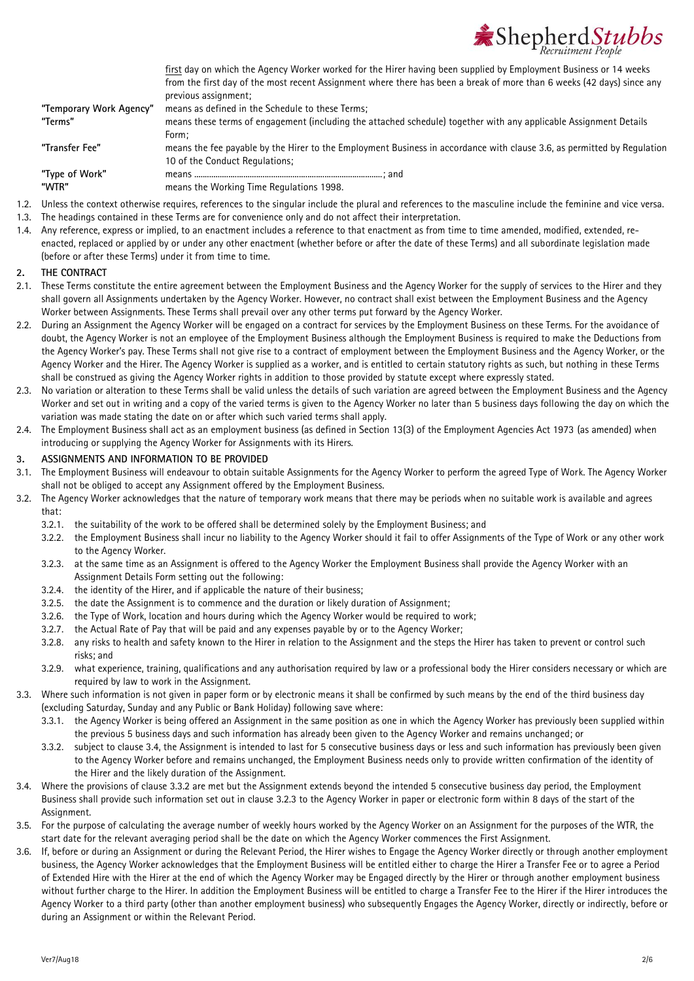

from the first day of the most recent Assignment where there has been a break of more than 6 weeks (42 days) since any previous assignment; **"Temporary Work Agency"** means as defined in the Schedule to these Terms; **"Terms"** means these terms of engagement (including the attached schedule) together with any applicable Assignment Details Form; **"Transfer Fee"** means the fee payable by the Hirer to the Employment Business in accordance with clause 3.6, as permitted by Regulation 10 of the Conduct Regulations; **"Type of Work"** means ........................................................................................; and **"WTR"** means the Working Time Regulations 1998.

first day on which the Agency Worker worked for the Hirer having been supplied by Employment Business or 14 weeks

- 1.2. Unless the context otherwise requires, references to the singular include the plural and references to the masculine include the feminine and vice versa.
- 1.3. The headings contained in these Terms are for convenience only and do not affect their interpretation.
- 1.4. Any reference, express or implied, to an enactment includes a reference to that enactment as from time to time amended, modified, extended, reenacted, replaced or applied by or under any other enactment (whether before or after the date of these Terms) and all subordinate legislation made (before or after these Terms) under it from time to time.

## **2. THE CONTRACT**

- 2.1. These Terms constitute the entire agreement between the Employment Business and the Agency Worker for the supply of services to the Hirer and they shall govern all Assignments undertaken by the Agency Worker. However, no contract shall exist between the Employment Business and the Agency Worker between Assignments. These Terms shall prevail over any other terms put forward by the Agency Worker.
- 2.2. During an Assignment the Agency Worker will be engaged on a contract for services by the Employment Business on these Terms. For the avoidance of doubt, the Agency Worker is not an employee of the Employment Business although the Employment Business is required to make the Deductions from the Agency Worker's pay. These Terms shall not give rise to a contract of employment between the Employment Business and the Agency Worker, or the Agency Worker and the Hirer. The Agency Worker is supplied as a worker, and is entitled to certain statutory rights as such, but nothing in these Terms shall be construed as giving the Agency Worker rights in addition to those provided by statute except where expressly stated.
- 2.3. No variation or alteration to these Terms shall be valid unless the details of such variation are agreed between the Employment Business and the Agency Worker and set out in writing and a copy of the varied terms is given to the Agency Worker no later than 5 business days following the day on which the variation was made stating the date on or after which such varied terms shall apply.
- 2.4. The Employment Business shall act as an employment business (as defined in Section 13(3) of the Employment Agencies Act 1973 (as amended) when introducing or supplying the Agency Worker for Assignments with its Hirers.

## **3. ASSIGNMENTS AND INFORMATION TO BE PROVIDED**

- 3.1. The Employment Business will endeavour to obtain suitable Assignments for the Agency Worker to perform the agreed Type of Work. The Agency Worker shall not be obliged to accept any Assignment offered by the Employment Business.
- <span id="page-1-2"></span>3.2. The Agency Worker acknowledges that the nature of temporary work means that there may be periods when no suitable work is available and agrees that:
	- 3.2.1. the suitability of the work to be offered shall be determined solely by the Employment Business; and
	- 3.2.2. the Employment Business shall incur no liability to the Agency Worker should it fail to offer Assignments of the Type of Work or any other work to the Agency Worker.
	- 3.2.3. at the same time as an Assignment is offered to the Agency Worker the Employment Business shall provide the Agency Worker with an Assignment Details Form setting out the following:
	- 3.2.4. the identity of the Hirer, and if applicable the nature of their business;
	- 3.2.5. the date the Assignment is to commence and the duration or likely duration of Assignment;
	- 3.2.6. the Type of Work, location and hours during which the Agency Worker would be required to work;
	- 3.2.7. the Actual Rate of Pay that will be paid and any expenses payable by or to the Agency Worker;
	- 3.2.8. any risks to health and safety known to the Hirer in relation to the Assignment and the steps the Hirer has taken to prevent or control such risks; and
	- 3.2.9. what experience, training, qualifications and any authorisation required by law or a professional body the Hirer considers necessary or which are required by law to work in the Assignment.
- 3.3. Where such information is not given in paper form or by electronic means it shall be confirmed by such means by the end of the third business day (excluding Saturday, Sunday and any Public or Bank Holiday) following save where:
	- 3.3.1. the Agency Worker is being offered an Assignment in the same position as one in which the Agency Worker has previously been supplied within the previous 5 business days and such information has already been given to the Agency Worker and remains unchanged; or
	- 3.3.2. subject to claus[e 3.4,](#page-1-0) the Assignment is intended to last for 5 consecutive business days or less and such information has previously been given to the Agency Worker before and remains unchanged, the Employment Business needs only to provide written confirmation of the identity of the Hirer and the likely duration of the Assignment.
- <span id="page-1-1"></span><span id="page-1-0"></span>3.4. Where the provisions of clause [3.3.2](#page-1-1) are met but the Assignment extends beyond the intended 5 consecutive business day period, the Employment Business shall provide such information set out in clause [3.2.3](#page-1-2) to the Agency Worker in paper or electronic form within 8 days of the start of the Assignment.
- 3.5. For the purpose of calculating the average number of weekly hours worked by the Agency Worker on an Assignment for the purposes of the WTR, the start date for the relevant averaging period shall be the date on which the Agency Worker commences the First Assignment.
- 3.6. If, before or during an Assignment or during the Relevant Period, the Hirer wishes to Engage the Agency Worker directly or through another employment business, the Agency Worker acknowledges that the Employment Business will be entitled either to charge the Hirer a Transfer Fee or to agree a Period of Extended Hire with the Hirer at the end of which the Agency Worker may be Engaged directly by the Hirer or through another employment business without further charge to the Hirer. In addition the Employment Business will be entitled to charge a Transfer Fee to the Hirer if the Hirer introduces the Agency Worker to a third party (other than another employment business) who subsequently Engages the Agency Worker, directly or indirectly, before or during an Assignment or within the Relevant Period.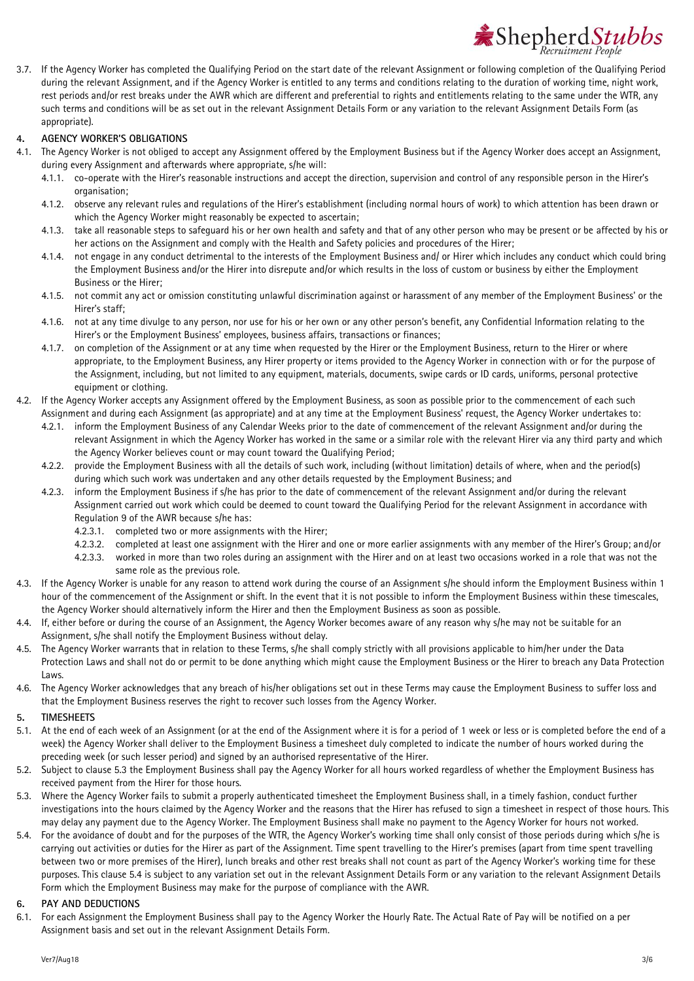

3.7. If the Agency Worker has completed the Qualifying Period on the start date of the relevant Assignment or following completion of the Qualifying Period during the relevant Assignment, and if the Agency Worker is entitled to any terms and conditions relating to the duration of working time, night work, rest periods and/or rest breaks under the AWR which are different and preferential to rights and entitlements relating to the same under the WTR, any such terms and conditions will be as set out in the relevant Assignment Details Form or any variation to the relevant Assignment Details Form (as appropriate).

### **4. AGENCY WORKER'S OBLIGATIONS**

- 4.1. The Agency Worker is not obliged to accept any Assignment offered by the Employment Business but if the Agency Worker does accept an Assignment, during every Assignment and afterwards where appropriate, s/he will:
	- 4.1.1. co-operate with the Hirer's reasonable instructions and accept the direction, supervision and control of any responsible person in the Hirer's organisation;
	- 4.1.2. observe any relevant rules and regulations of the Hirer's establishment (including normal hours of work) to which attention has been drawn or which the Agency Worker might reasonably be expected to ascertain:
	- 4.1.3. take all reasonable steps to safeguard his or her own health and safety and that of any other person who may be present or be affected by his or her actions on the Assignment and comply with the Health and Safety policies and procedures of the Hirer;
	- 4.1.4. not engage in any conduct detrimental to the interests of the Employment Business and/ or Hirer which includes any conduct which could bring the Employment Business and/or the Hirer into disrepute and/or which results in the loss of custom or business by either the Employment Business or the Hirer;
	- 4.1.5. not commit any act or omission constituting unlawful discrimination against or harassment of any member of the Employment Business' or the Hirer's staff;
	- 4.1.6. not at any time divulge to any person, nor use for his or her own or any other person's benefit, any Confidential Information relating to the Hirer's or the Employment Business' employees, business affairs, transactions or finances;
	- 4.1.7. on completion of the Assignment or at any time when requested by the Hirer or the Employment Business, return to the Hirer or where appropriate, to the Employment Business, any Hirer property or items provided to the Agency Worker in connection with or for the purpose of the Assignment, including, but not limited to any equipment, materials, documents, swipe cards or ID cards, uniforms, personal protective equipment or clothing.
- 4.2. If the Agency Worker accepts any Assignment offered by the Employment Business, as soon as possible prior to the commencement of each such Assignment and during each Assignment (as appropriate) and at any time at the Employment Business' request, the Agency Worker undertakes to:
	- 4.2.1. inform the Employment Business of any Calendar Weeks prior to the date of commencement of the relevant Assignment and/or during the relevant Assignment in which the Agency Worker has worked in the same or a similar role with the relevant Hirer via any third party and which the Agency Worker believes count or may count toward the Qualifying Period;
	- 4.2.2. provide the Employment Business with all the details of such work, including (without limitation) details of where, when and the period(s) during which such work was undertaken and any other details requested by the Employment Business; and
	- 4.2.3. inform the Employment Business if s/he has prior to the date of commencement of the relevant Assignment and/or during the relevant Assignment carried out work which could be deemed to count toward the Qualifying Period for the relevant Assignment in accordance with Regulation 9 of the AWR because s/he has:
		- 4.2.3.1. completed two or more assignments with the Hirer;
		- 4.2.3.2. completed at least one assignment with the Hirer and one or more earlier assignments with any member of the Hirer's Group; and/or
		- 4.2.3.3. worked in more than two roles during an assignment with the Hirer and on at least two occasions worked in a role that was not the same role as the previous role.
- <span id="page-2-2"></span>4.3. If the Agency Worker is unable for any reason to attend work during the course of an Assignment s/he should inform the Employment Business within 1 hour of the commencement of the Assignment or shift. In the event that it is not possible to inform the Employment Business within these timescales, the Agency Worker should alternatively inform the Hirer and then the Employment Business as soon as possible.
- 4.4. If, either before or during the course of an Assignment, the Agency Worker becomes aware of any reason why s/he may not be suitable for an Assignment, s/he shall notify the Employment Business without delay.
- 4.5. The Agency Worker warrants that in relation to these Terms, s/he shall comply strictly with all provisions applicable to him/her under the Data Protection Laws and shall not do or permit to be done anything which might cause the Employment Business or the Hirer to breach any Data Protection Laws.
- 4.6. The Agency Worker acknowledges that any breach of his/her obligations set out in these Terms may cause the Employment Business to suffer loss and that the Employment Business reserves the right to recover such losses from the Agency Worker.
- **5. TIMESHEETS**
- 5.1. At the end of each week of an Assignment (or at the end of the Assignment where it is for a period of 1 week or less or is completed before the end of a week) the Agency Worker shall deliver to the Employment Business a timesheet duly completed to indicate the number of hours worked during the preceding week (or such lesser period) and signed by an authorised representative of the Hirer.
- 5.2. Subject to clause [5.3](#page-2-0) the Employment Business shall pay the Agency Worker for all hours worked regardless of whether the Employment Business has received payment from the Hirer for those hours.
- <span id="page-2-0"></span>5.3. Where the Agency Worker fails to submit a properly authenticated timesheet the Employment Business shall, in a timely fashion, conduct further investigations into the hours claimed by the Agency Worker and the reasons that the Hirer has refused to sign a timesheet in respect of those hours. This may delay any payment due to the Agency Worker. The Employment Business shall make no payment to the Agency Worker for hours not worked.
- <span id="page-2-1"></span>5.4. For the avoidance of doubt and for the purposes of the WTR, the Agency Worker's working time shall only consist of those periods during which s/he is carrying out activities or duties for the Hirer as part of the Assignment. Time spent travelling to the Hirer's premises (apart from time spent travelling between two or more premises of the Hirer), lunch breaks and other rest breaks shall not count as part of the Agency Worker's working time for these purposes. This clause [5.4](#page-2-1) is subject to any variation set out in the relevant Assignment Details Form or any variation to the relevant Assignment Details Form which the Employment Business may make for the purpose of compliance with the AWR.

## **6. PAY AND DEDUCTIONS**

6.1. For each Assignment the Employment Business shall pay to the Agency Worker the Hourly Rate. The Actual Rate of Pay will be notified on a per Assignment basis and set out in the relevant Assignment Details Form.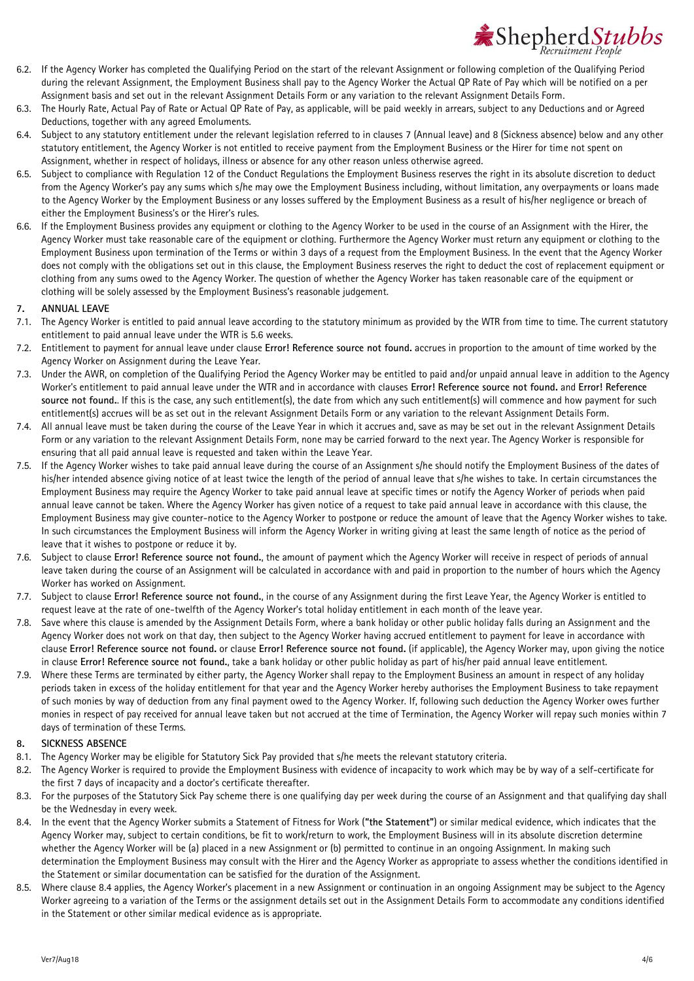

- 6.2. If the Agency Worker has completed the Qualifying Period on the start of the relevant Assignment or following completion of the Qualifying Period during the relevant Assignment, the Employment Business shall pay to the Agency Worker the Actual QP Rate of Pay which will be notified on a per Assignment basis and set out in the relevant Assignment Details Form or any variation to the relevant Assignment Details Form.
- 6.3. The Hourly Rate, Actual Pay of Rate or Actual QP Rate of Pay, as applicable, will be paid weekly in arrears, subject to any Deductions and or Agreed Deductions, together with any agreed Emoluments.
- 6.4. Subject to any statutory entitlement under the relevant legislation referred to in clauses [7](#page-3-0) (Annual leave) and [8](#page-3-1) (Sickness absence) below and any other statutory entitlement, the Agency Worker is not entitled to receive payment from the Employment Business or the Hirer for time not spent on Assignment, whether in respect of holidays, illness or absence for any other reason unless otherwise agreed.
- 6.5. Subject to compliance with Regulation 12 of the Conduct Regulations the Employment Business reserves the right in its absolute discretion to deduct from the Agency Worker's pay any sums which s/he may owe the Employment Business including, without limitation, any overpayments or loans made to the Agency Worker by the Employment Business or any losses suffered by the Employment Business as a result of his/her negligence or breach of either the Employment Business's or the Hirer's rules.
- 6.6. If the Employment Business provides any equipment or clothing to the Agency Worker to be used in the course of an Assignment with the Hirer, the Agency Worker must take reasonable care of the equipment or clothing. Furthermore the Agency Worker must return any equipment or clothing to the Employment Business upon termination of the Terms or within 3 days of a request from the Employment Business. In the event that the Agency Worker does not comply with the obligations set out in this clause, the Employment Business reserves the right to deduct the cost of replacement equipment or clothing from any sums owed to the Agency Worker. The question of whether the Agency Worker has taken reasonable care of the equipment or clothing will be solely assessed by the Employment Business's reasonable judgement.

#### <span id="page-3-0"></span>**7. ANNUAL LEAVE**

- 7.1. The Agency Worker is entitled to paid annual leave according to the statutory minimum as provided by the WTR from time to time. The current statutory entitlement to paid annual leave under the WTR is 5.6 weeks.
- 7.2. Entitlement to payment for annual leave under clause **Error! Reference source not found.** accrues in proportion to the amount of time worked by the Agency Worker on Assignment during the Leave Year.
- 7.3. Under the AWR, on completion of the Qualifying Period the Agency Worker may be entitled to paid and/or unpaid annual leave in addition to the Agency Worker's entitlement to paid annual leave under the WTR and in accordance with clauses **Error! Reference source not found.** and **Error! Reference source not found.**. If this is the case, any such entitlement(s), the date from which any such entitlement(s) will commence and how payment for such entitlement(s) accrues will be as set out in the relevant Assignment Details Form or any variation to the relevant Assignment Details Form.
- 7.4. All annual leave must be taken during the course of the Leave Year in which it accrues and, save as may be set out in the relevant Assignment Details Form or any variation to the relevant Assignment Details Form, none may be carried forward to the next year. The Agency Worker is responsible for ensuring that all paid annual leave is requested and taken within the Leave Year.
- 7.5. If the Agency Worker wishes to take paid annual leave during the course of an Assignment s/he should notify the Employment Business of the dates of his/her intended absence giving notice of at least twice the length of the period of annual leave that s/he wishes to take. In certain circumstances the Employment Business may require the Agency Worker to take paid annual leave at specific times or notify the Agency Worker of periods when paid annual leave cannot be taken. Where the Agency Worker has given notice of a request to take paid annual leave in accordance with this clause, the Employment Business may give counter-notice to the Agency Worker to postpone or reduce the amount of leave that the Agency Worker wishes to take. In such circumstances the Employment Business will inform the Agency Worker in writing giving at least the same length of notice as the period of leave that it wishes to postpone or reduce it by.
- 7.6. Subject to clause **Error! Reference source not found.**, the amount of payment which the Agency Worker will receive in respect of periods of annual leave taken during the course of an Assignment will be calculated in accordance with and paid in proportion to the number of hours which the Agency Worker has worked on Assignment.
- 7.7. Subject to clause **Error! Reference source not found.**, in the course of any Assignment during the first Leave Year, the Agency Worker is entitled to request leave at the rate of one-twelfth of the Agency Worker's total holiday entitlement in each month of the leave year.
- 7.8. Save where this clause is amended by the Assignment Details Form, where a bank holiday or other public holiday falls during an Assignment and the Agency Worker does not work on that day, then subject to the Agency Worker having accrued entitlement to payment for leave in accordance with clause **Error! Reference source not found.** or clause **Error! Reference source not found.** (if applicable), the Agency Worker may, upon giving the notice in clause **Error! Reference source not found.**, take a bank holiday or other public holiday as part of his/her paid annual leave entitlement.
- 7.9. Where these Terms are terminated by either party, the Agency Worker shall repay to the Employment Business an amount in respect of any holiday periods taken in excess of the holiday entitlement for that year and the Agency Worker hereby authorises the Employment Business to take repayment of such monies by way of deduction from any final payment owed to the Agency Worker. If, following such deduction the Agency Worker owes further monies in respect of pay received for annual leave taken but not accrued at the time of Termination, the Agency Worker will repay such monies within 7 days of termination of these Terms.

#### <span id="page-3-1"></span>**8. SICKNESS ABSENCE**

- 8.1. The Agency Worker may be eligible for Statutory Sick Pay provided that s/he meets the relevant statutory criteria.
- 8.2. The Agency Worker is required to provide the Employment Business with evidence of incapacity to work which may be by way of a self-certificate for the first 7 days of incapacity and a doctor's certificate thereafter.
- 8.3. For the purposes of the Statutory Sick Pay scheme there is one qualifying day per week during the course of an Assignment and that qualifying day shall be the Wednesday in every week.
- <span id="page-3-2"></span>8.4. In the event that the Agency Worker submits a Statement of Fitness for Work (**"the Statement"**) or similar medical evidence, which indicates that the Agency Worker may, subject to certain conditions, be fit to work/return to work, the Employment Business will in its absolute discretion determine whether the Agency Worker will be (a) placed in a new Assignment or (b) permitted to continue in an ongoing Assignment. In making such determination the Employment Business may consult with the Hirer and the Agency Worker as appropriate to assess whether the conditions identified in the Statement or similar documentation can be satisfied for the duration of the Assignment.
- 8.5. Where clause [8.4](#page-3-2) applies, the Agency Worker's placement in a new Assignment or continuation in an ongoing Assignment may be subject to the Agency Worker agreeing to a variation of the Terms or the assignment details set out in the Assignment Details Form to accommodate any conditions identified in the Statement or other similar medical evidence as is appropriate.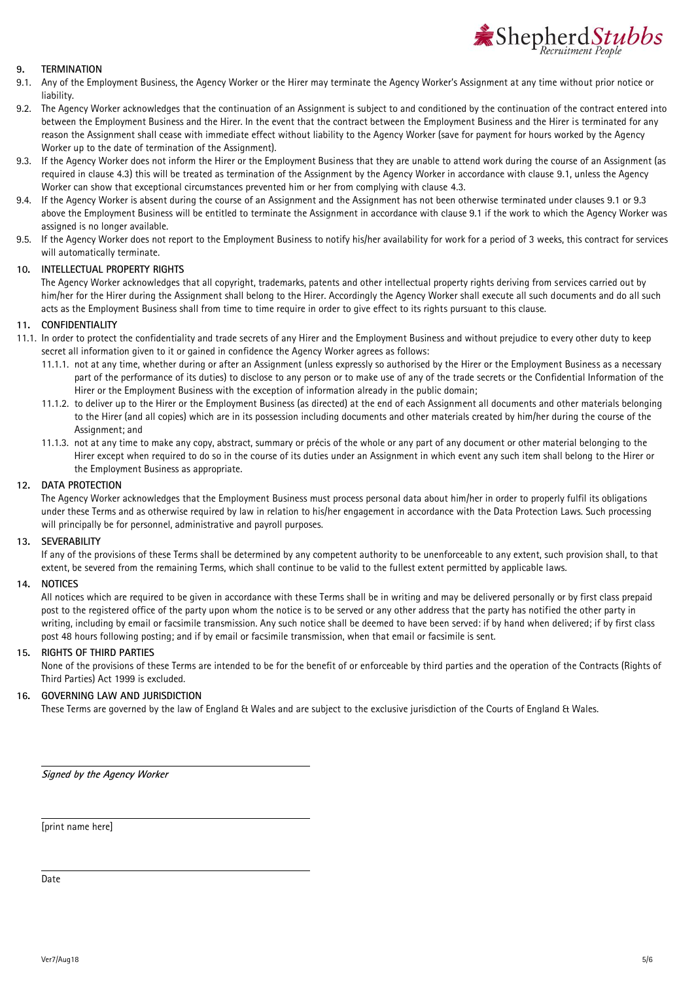

## **9. TERMINATION**

- <span id="page-4-0"></span>9.1. Any of the Employment Business, the Agency Worker or the Hirer may terminate the Agency Worker's Assignment at any time without prior notice or liability.
- 9.2. The Agency Worker acknowledges that the continuation of an Assignment is subject to and conditioned by the continuation of the contract entered into between the Employment Business and the Hirer. In the event that the contract between the Employment Business and the Hirer is terminated for any reason the Assignment shall cease with immediate effect without liability to the Agency Worker (save for payment for hours worked by the Agency Worker up to the date of termination of the Assignment).
- <span id="page-4-1"></span>9.3. If the Agency Worker does not inform the Hirer or the Employment Business that they are unable to attend work during the course of an Assignment (as required in clause [4.3\)](#page-2-2) this will be treated as termination of the Assignment by the Agency Worker in accordance with clause [9.1,](#page-4-0) unless the Agency Worker can show that exceptional circumstances prevented him or her from complying with claus[e 4.3.](#page-2-2)
- 9.4. If the Agency Worker is absent during the course of an Assignment and the Assignment has not been otherwise terminated under clauses [9.1](#page-4-0) o[r 9.3](#page-4-1) above the Employment Business will be entitled to terminate the Assignment in accordance with claus[e 9.1](#page-4-0) if the work to which the Agency Worker was assigned is no longer available.
- 9.5. If the Agency Worker does not report to the Employment Business to notify his/her availability for work for a period of 3 weeks, this contract for services will automatically terminate.

#### **10. INTELLECTUAL PROPERTY RIGHTS**

The Agency Worker acknowledges that all copyright, trademarks, patents and other intellectual property rights deriving from services carried out by him/her for the Hirer during the Assignment shall belong to the Hirer. Accordingly the Agency Worker shall execute all such documents and do all such acts as the Employment Business shall from time to time require in order to give effect to its rights pursuant to this clause.

#### **11. CONFIDENTIALITY**

- 11.1. In order to protect the confidentiality and trade secrets of any Hirer and the Employment Business and without prejudice to every other duty to keep secret all information given to it or gained in confidence the Agency Worker agrees as follows:
	- 11.1.1. not at any time, whether during or after an Assignment (unless expressly so authorised by the Hirer or the Employment Business as a necessary part of the performance of its duties) to disclose to any person or to make use of any of the trade secrets or the Confidential Information of the Hirer or the Employment Business with the exception of information already in the public domain;
	- 11.1.2. to deliver up to the Hirer or the Employment Business (as directed) at the end of each Assignment all documents and other materials belonging to the Hirer (and all copies) which are in its possession including documents and other materials created by him/her during the course of the Assignment; and
	- 11.1.3. not at any time to make any copy, abstract, summary or précis of the whole or any part of any document or other material belonging to the Hirer except when required to do so in the course of its duties under an Assignment in which event any such item shall belong to the Hirer or the Employment Business as appropriate.

#### **12. DATA PROTECTION**

The Agency Worker acknowledges that the Employment Business must process personal data about him/her in order to properly fulfil its obligations under these Terms and as otherwise required by law in relation to his/her engagement in accordance with the Data Protection Laws. Such processing will principally be for personnel, administrative and payroll purposes.

#### **13. SEVERABILITY**

If any of the provisions of these Terms shall be determined by any competent authority to be unenforceable to any extent, such provision shall, to that extent, be severed from the remaining Terms, which shall continue to be valid to the fullest extent permitted by applicable laws.

#### **14. NOTICES**

All notices which are required to be given in accordance with these Terms shall be in writing and may be delivered personally or by first class prepaid post to the registered office of the party upon whom the notice is to be served or any other address that the party has notified the other party in writing, including by email or facsimile transmission. Any such notice shall be deemed to have been served: if by hand when delivered; if by first class post 48 hours following posting; and if by email or facsimile transmission, when that email or facsimile is sent.

#### **15. RIGHTS OF THIRD PARTIES**

None of the provisions of these Terms are intended to be for the benefit of or enforceable by third parties and the operation of the Contracts (Rights of Third Parties) Act 1999 is excluded.

### **16. GOVERNING LAW AND JURISDICTION**

These Terms are governed by the law of England & Wales and are subject to the exclusive jurisdiction of the Courts of England & Wales.

**Signed by the Agency Worker** 

[print name here]

Date